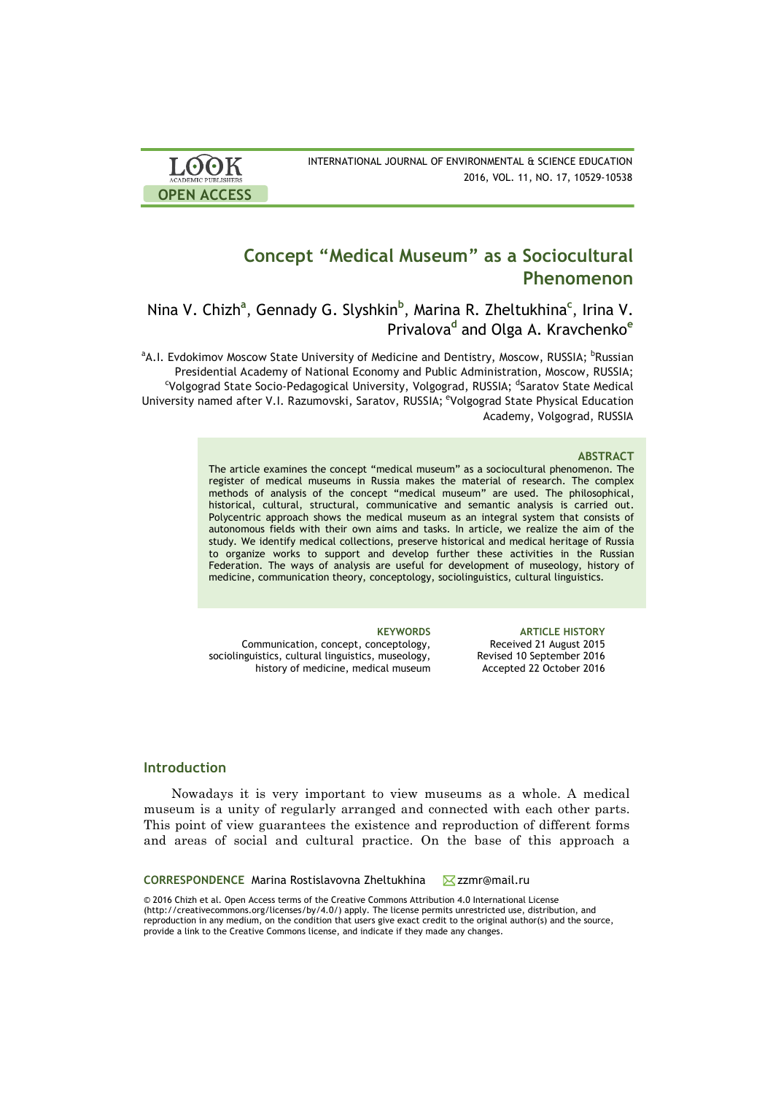| <b>LOOK</b><br>ACADEMIC PUBLISHERS | INTERNATIONAL JOURNAL OF ENVIRONMENTAL & SCIENCE EDUCATION<br>2016, VOL. 11, NO. 17, 10529-10538 |
|------------------------------------|--------------------------------------------------------------------------------------------------|
| <b>OPEN ACCESS</b>                 |                                                                                                  |

# **Concept "Medical Museum" as a Sociocultural Phenomenon**

# Nina V. Chizh**<sup>a</sup>** , Gennady G. Slyshkin**<sup>b</sup>** , Marina R. Zheltukhina**<sup>c</sup>** , Irina V. Privalova**<sup>d</sup>** and Olga A. Kravchenko**<sup>e</sup>**

<sup>a</sup>A.I. Evdokimov Moscow State University of Medicine and Dentistry, Moscow, RUSSIA; <sup>b</sup>Russian Presidential Academy of National Economy and Public Administration, Moscow, RUSSIA; c Volgograd State Socio-Pedagogical University, Volgograd, RUSSIA; <sup>d</sup>Saratov State Medical University named after V.I. Razumovski, Saratov, RUSSIA; <sup>e</sup>Volgograd State Physical Education Academy, Volgograd, RUSSIA

### **ABSTRACT**

The article examines the concept "medical museum" as a sociocultural phenomenon. The register of medical museums in Russia makes the material of research. The complex methods of analysis of the concept "medical museum" are used. The philosophical, historical, cultural, structural, communicative and semantic analysis is carried out. Polycentric approach shows the medical museum as an integral system that consists of autonomous fields with their own aims and tasks. In article, we realize the aim of the study. We identify medical collections, preserve historical and medical heritage of Russia to organize works to support and develop further these activities in the Russian Federation. The ways of analysis are useful for development of museology, history of medicine, communication theory, conceptology, sociolinguistics, cultural linguistics.

Communication, concept, conceptology, sociolinguistics, cultural linguistics, museology, history of medicine, medical museum

**KEYWORDS ARTICLE HISTORY** Received 21 August 2015 Revised 10 September 2016 Accepted 22 October 2016

# **Introduction**

Nowadays it is very important to view museums as a whole. A medical museum is a unity of regularly arranged and connected with each other parts. This point of view guarantees the existence and reproduction of different forms and areas of social and cultural practice. On the base of this approach a

**CORRESPONDENCE** Marina Rostislavovna Zheltukhina **Zamr@mail.ru** 

© 2016 Chizh et al. Open Access terms of the Creative Commons Attribution 4.0 International License (http://creativecommons.org/licenses/by/4.0/) apply. The license permits unrestricted use, distribution, and reproduction in any medium, on the condition that users give exact credit to the original author(s) and the source, provide a link to the Creative Commons license, and indicate if they made any changes.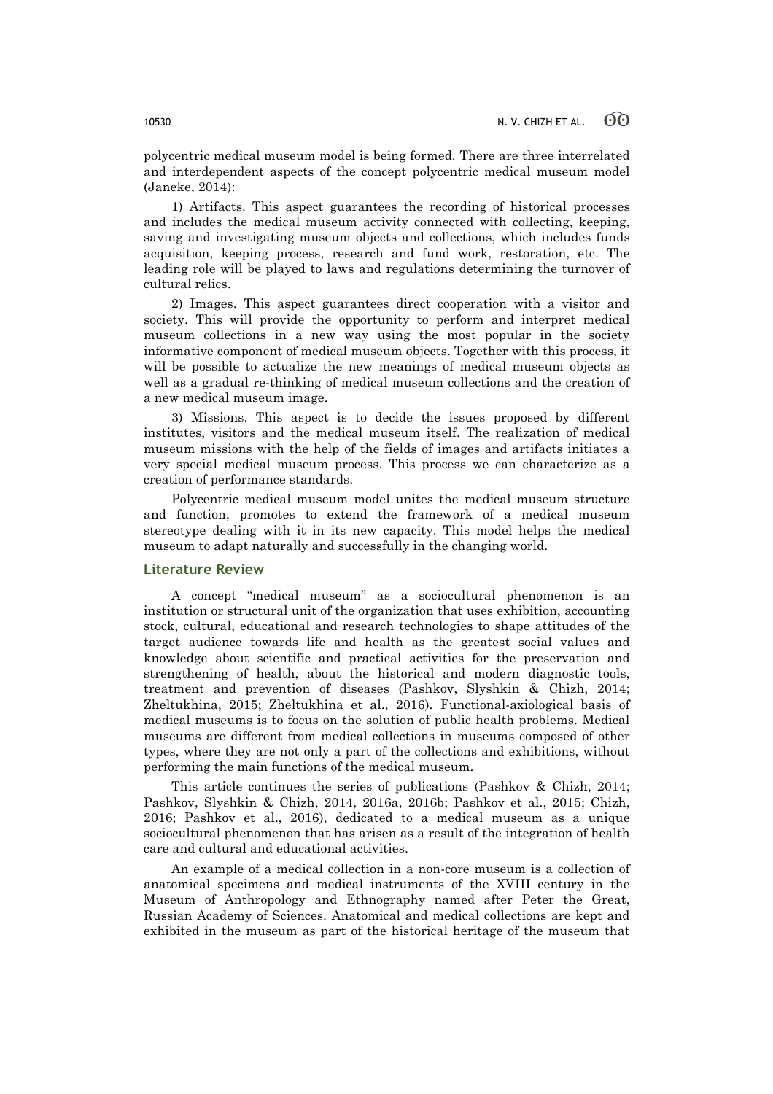polycentric medical museum model is being formed. There are three interrelated and interdependent aspects of the concept polycentric medical museum model (Janeke, 2014):

1) Artifacts. This aspect guarantees the recording of historical processes and includes the medical museum activity connected with collecting, keeping, saving and investigating museum objects and collections, which includes funds acquisition, keeping process, research and fund work, restoration, etc. The leading role will be played to laws and regulations determining the turnover of cultural relics.

2) Images. This aspect guarantees direct cooperation with a visitor and society. This will provide the opportunity to perform and interpret medical museum collections in a new way using the most popular in the society informative component of medical museum objects. Together with this process, it will be possible to actualize the new meanings of medical museum objects as well as a gradual re-thinking of medical museum collections and the creation of a new medical museum image.

3) Missions. This aspect is to decide the issues proposed by different institutes, visitors and the medical museum itself. The realization of medical museum missions with the help of the fields of images and artifacts initiates a very special medical museum process. This process we can characterize as a creation of performance standards.

Polycentric medical museum model unites the medical museum structure and function, promotes to extend the framework of a medical museum stereotype dealing with it in its new capacity. This model helps the medical museum to adapt naturally and successfully in the changing world.

# **Literature Review**

A concept "medical museum" as a sociocultural phenomenon is an institution or structural unit of the organization that uses exhibition, accounting stock, cultural, educational and research technologies to shape attitudes of the target audience towards life and health as the greatest social values and knowledge about scientific and practical activities for the preservation and strengthening of health, about the historical and modern diagnostic tools, treatment and prevention of diseases (Pashkov, Slyshkin & Chizh, 2014; Zheltukhina, 2015; Zheltukhina et al., 2016). Functional-axiological basis of medical museums is to focus on the solution of public health problems. Medical museums are different from medical collections in museums composed of other types, where they are not only a part of the collections and exhibitions, without performing the main functions of the medical museum.

This article continues the series of publications (Pashkov & Chizh, 2014; Pashkov, Slyshkin & Chizh, 2014, 2016a, 2016b; Pashkov et al., 2015; Chizh, 2016; Pashkov et al., 2016), dedicated to a medical museum as a unique sociocultural phenomenon that has arisen as a result of the integration of health care and cultural and educational activities.

An example of a medical collection in a non-core museum is a collection of anatomical specimens and medical instruments of the XVIII century in the Museum of Anthropology and Ethnography named after Peter the Great, Russian Academy of Sciences. Anatomical and medical collections are kept and exhibited in the museum as part of the historical heritage of the museum that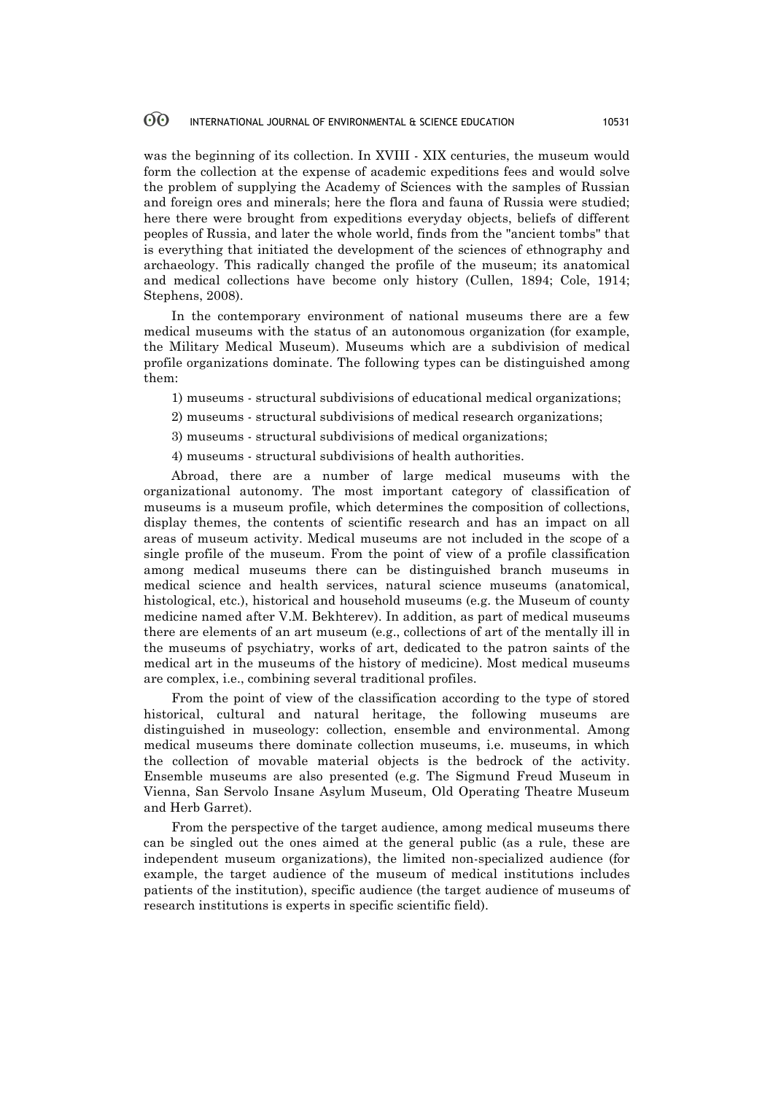was the beginning of its collection. In XVIII - XIX centuries, the museum would form the collection at the expense of academic expeditions fees and would solve the problem of supplying the Academy of Sciences with the samples of Russian and foreign ores and minerals; here the flora and fauna of Russia were studied; here there were brought from expeditions everyday objects, beliefs of different peoples of Russia, and later the whole world, finds from the "ancient tombs" that is everything that initiated the development of the sciences of ethnography and archaeology. This radically changed the profile of the museum; its anatomical and medical collections have become only history (Cullen, 1894; Cole, 1914; Stephens, 2008).

In the contemporary environment of national museums there are a few medical museums with the status of an autonomous organization (for example, the Military Medical Museum). Museums which are a subdivision of medical profile organizations dominate. The following types can be distinguished among them:

1) museums - structural subdivisions of educational medical organizations;

2) museums - structural subdivisions of medical research organizations;

3) museums - structural subdivisions of medical organizations;

4) museums - structural subdivisions of health authorities.

Abroad, there are a number of large medical museums with the organizational autonomy. The most important category of classification of museums is a museum profile, which determines the composition of collections, display themes, the contents of scientific research and has an impact on all areas of museum activity. Medical museums are not included in the scope of a single profile of the museum. From the point of view of a profile classification among medical museums there can be distinguished branch museums in medical science and health services, natural science museums (anatomical, histological, etc.), historical and household museums (e.g. the Museum of county medicine named after V.M. Bekhterev). In addition, as part of medical museums there are elements of an art museum (e.g., collections of art of the mentally ill in the museums of psychiatry, works of art, dedicated to the patron saints of the medical art in the museums of the history of medicine). Most medical museums are complex, i.e., combining several traditional profiles.

From the point of view of the classification according to the type of stored historical, cultural and natural heritage, the following museums are distinguished in museology: collection, ensemble and environmental. Among medical museums there dominate collection museums, i.e. museums, in which the collection of movable material objects is the bedrock of the activity. Ensemble museums are also presented (e.g. The Sigmund Freud Museum in Vienna, San Servolo Insane Asylum Museum, Old Operating Theatre Museum and Herb Garret).

From the perspective of the target audience, among medical museums there can be singled out the ones aimed at the general public (as a rule, these are independent museum organizations), the limited non-specialized audience (for example, the target audience of the museum of medical institutions includes patients of the institution), specific audience (the target audience of museums of research institutions is experts in specific scientific field).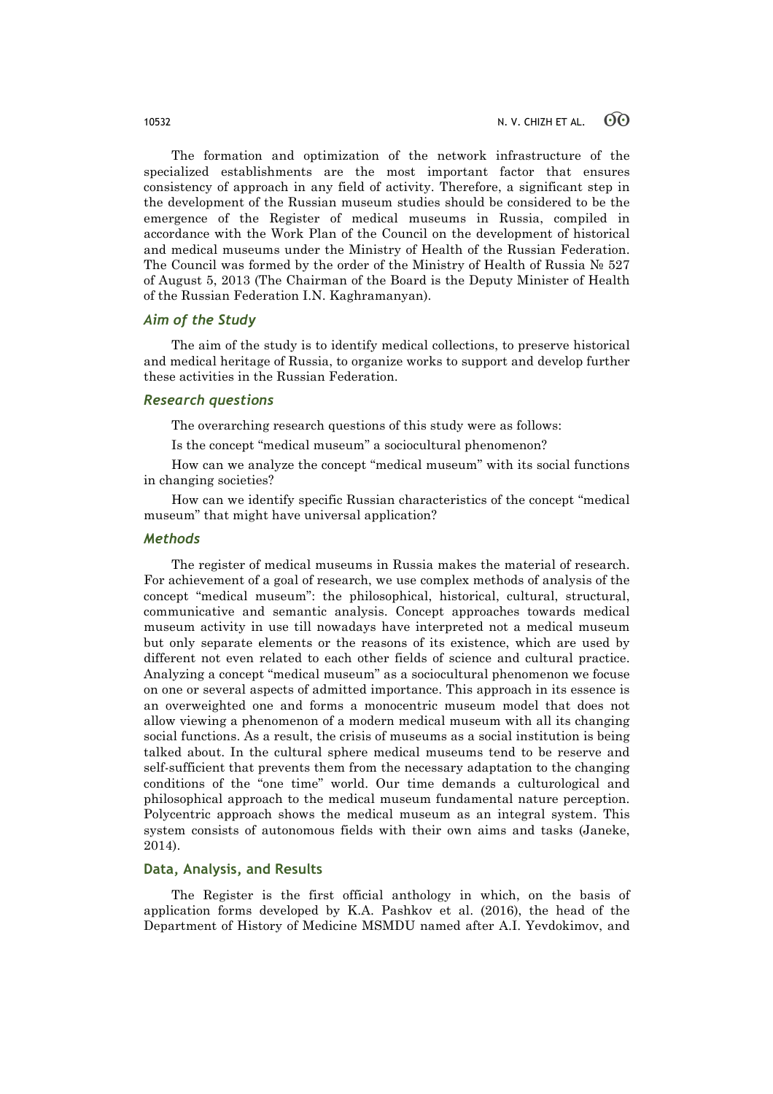The formation and optimization of the network infrastructure of the specialized establishments are the most important factor that ensures consistency of approach in any field of activity. Therefore, a significant step in the development of the Russian museum studies should be considered to be the emergence of the Register of medical museums in Russia, compiled in accordance with the Work Plan of the Council on the development of historical and medical museums under the Ministry of Health of the Russian Federation. The Council was formed by the order of the Ministry of Health of Russia № 527 of August 5, 2013 (The Chairman of the Board is the Deputy Minister of Health of the Russian Federation I.N. Kaghramanyan).

# *Aim of the Study*

The aim of the study is to identify medical collections, to preserve historical and medical heritage of Russia, to organize works to support and develop further these activities in the Russian Federation.

## *Research questions*

The overarching research questions of this study were as follows:

Is the concept "medical museum" a sociocultural phenomenon?

How can we analyze the concept "medical museum" with its social functions in changing societies?

How can we identify specific Russian characteristics of the concept "medical museum" that might have universal application?

## *Methods*

The register of medical museums in Russia makes the material of research. For achievement of a goal of research, we use complex methods of analysis of the concept "medical museum": the philosophical, historical, cultural, structural, communicative and semantic analysis. Concept approaches towards medical museum activity in use till nowadays have interpreted not a medical museum but only separate elements or the reasons of its existence, which are used by different not even related to each other fields of science and cultural practice. Analyzing a concept "medical museum" as a sociocultural phenomenon we focuse on one or several aspects of admitted importance. This approach in its essence is an overweighted one and forms a monocentric museum model that does not allow viewing a phenomenon of a modern medical museum with all its changing social functions. As a result, the crisis of museums as a social institution is being talked about. In the cultural sphere medical museums tend to be reserve and self-sufficient that prevents them from the necessary adaptation to the changing conditions of the "one time" world. Our time demands a culturological and philosophical approach to the medical museum fundamental nature perception. Polycentric approach shows the medical museum as an integral system. This system consists of autonomous fields with their own aims and tasks (Janeke, 2014).

# **Data, Analysis, and Results**

The Register is the first official anthology in which, on the basis of application forms developed by K.A. Pashkov et al. (2016), the head of the Department of History of Medicine MSMDU named after A.I. Yevdokimov, and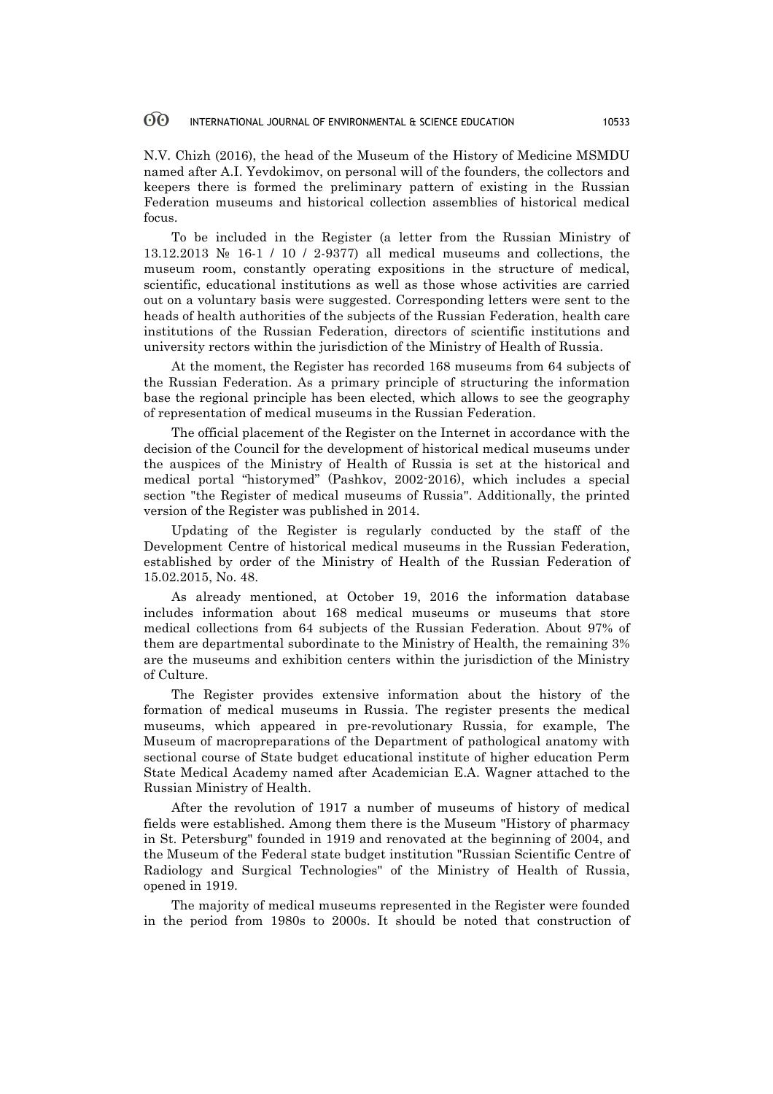N.V. Chizh (2016), the head of the Museum of the History of Medicine MSMDU named after A.I. Yevdokimov, on personal will of the founders, the collectors and keepers there is formed the preliminary pattern of existing in the Russian Federation museums and historical collection assemblies of historical medical focus.

To be included in the Register (a letter from the Russian Ministry of 13.12.2013 № 16-1 / 10 / 2-9377) all medical museums and collections, the museum room, constantly operating expositions in the structure of medical, scientific, educational institutions as well as those whose activities are carried out on a voluntary basis were suggested. Corresponding letters were sent to the heads of health authorities of the subjects of the Russian Federation, health care institutions of the Russian Federation, directors of scientific institutions and university rectors within the jurisdiction of the Ministry of Health of Russia.

At the moment, the Register has recorded 168 museums from 64 subjects of the Russian Federation. As a primary principle of structuring the information base the regional principle has been elected, which allows to see the geography of representation of medical museums in the Russian Federation.

The official placement of the Register on the Internet in accordance with the decision of the Council for the development of historical medical museums under the auspices of the Ministry of Health of Russia is set at the historical and medical portal "historymed" (Pashkov, 2002-2016), which includes a special section "the Register of medical museums of Russia". Additionally, the printed version of the Register was published in 2014.

Updating of the Register is regularly conducted by the staff of the Development Centre of historical medical museums in the Russian Federation, established by order of the Ministry of Health of the Russian Federation of 15.02.2015, No. 48.

As already mentioned, at October 19, 2016 the information database includes information about 168 medical museums or museums that store medical collections from 64 subjects of the Russian Federation. About 97% of them are departmental subordinate to the Ministry of Health, the remaining 3% are the museums and exhibition centers within the jurisdiction of the Ministry of Culture.

The Register provides extensive information about the history of the formation of medical museums in Russia. The register presents the medical museums, which appeared in pre-revolutionary Russia, for example, The Museum of macropreparations of the Department of pathological anatomy with sectional course of State budget educational institute of higher education Perm State Medical Academy named after Academician E.A. Wagner attached to the Russian Ministry of Health.

After the revolution of 1917 a number of museums of history of medical fields were established. Among them there is the Museum "History of pharmacy in St. Petersburg" founded in 1919 and renovated at the beginning of 2004, and the Museum of the Federal state budget institution "Russian Scientific Centre of Radiology and Surgical Technologies" of the Ministry of Health of Russia, opened in 1919.

The majority of medical museums represented in the Register were founded in the period from 1980s to 2000s. It should be noted that construction of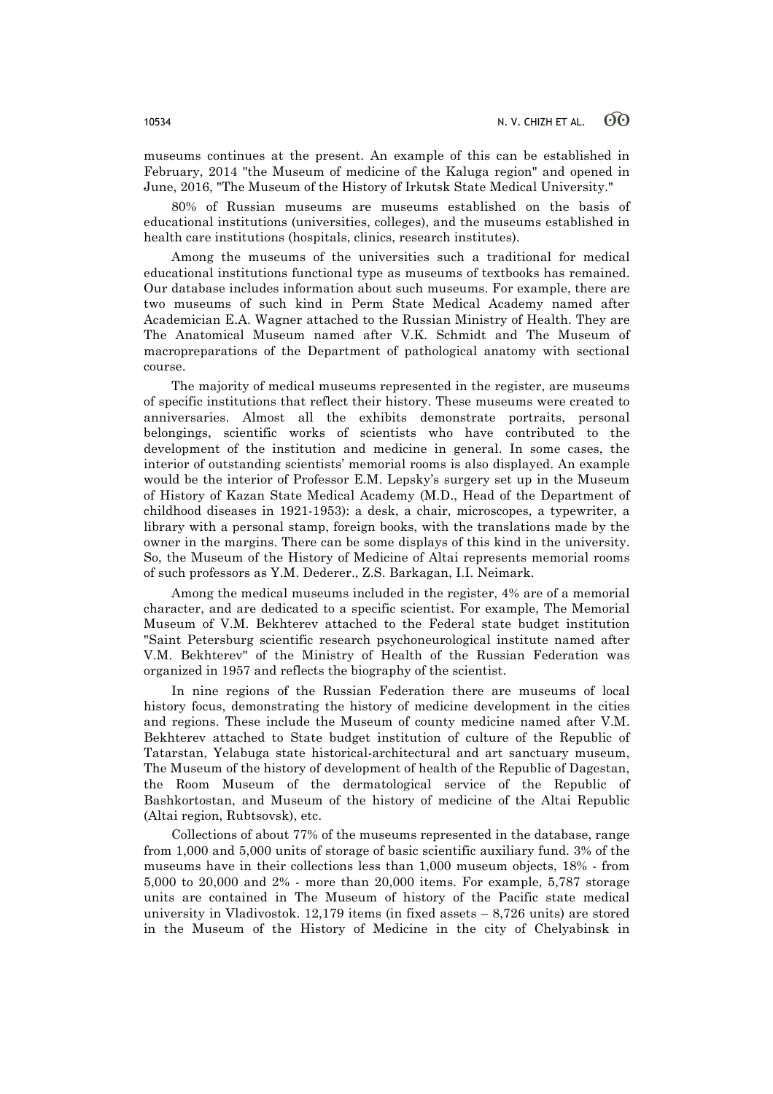museums continues at the present. An example of this can be established in February, 2014 "the Museum of medicine of the Kaluga region" and opened in June, 2016, "The Museum of the History of Irkutsk State Medical University."

80% of Russian museums are museums established on the basis of educational institutions (universities, colleges), and the museums established in health care institutions (hospitals, clinics, research institutes).

Among the museums of the universities such a traditional for medical educational institutions functional type as museums of textbooks has remained. Our database includes information about such museums. For example, there are two museums of such kind in Perm State Medical Academy named after Academician E.A. Wagner attached to the Russian Ministry of Health. They are The Anatomical Museum named after V.K. Schmidt and The Museum of macropreparations of the Department of pathological anatomy with sectional course.

The majority of medical museums represented in the register, are museums of specific institutions that reflect their history. These museums were created to anniversaries. Almost all the exhibits demonstrate portraits, personal belongings, scientific works of scientists who have contributed to the development of the institution and medicine in general. In some cases, the interior of outstanding scientists' memorial rooms is also displayed. An example would be the interior of Professor E.M. Lepsky's surgery set up in the Museum of History of Kazan State Medical Academy (M.D., Head of the Department of childhood diseases in 1921-1953): a desk, a chair, microscopes, a typewriter, a library with a personal stamp, foreign books, with the translations made by the owner in the margins. There can be some displays of this kind in the university. So, the Museum of the History of Medicine of Altai represents memorial rooms of such professors as Y.M. Dederer., Z.S. Barkagan, I.I. Neimark.

Among the medical museums included in the register, 4% are of a memorial character, and are dedicated to a specific scientist. For example, The Memorial Museum of V.M. Bekhterev attached to the Federal state budget institution "Saint Petersburg scientific research psychoneurological institute named after V.M. Bekhterev" of the Ministry of Health of the Russian Federation was organized in 1957 and reflects the biography of the scientist.

In nine regions of the Russian Federation there are museums of local history focus, demonstrating the history of medicine development in the cities and regions. These include the Museum of county medicine named after V.M. Bekhterev attached to State budget institution of culture of the Republic of Tatarstan, Yelabuga state historical-architectural and art sanctuary museum, The Museum of the history of development of health of the Republic of Dagestan, the Room Museum of the dermatological service of the Republic of Bashkortostan, and Museum of the history of medicine of the Altai Republic (Altai region, Rubtsovsk), etc.

Collections of about 77% of the museums represented in the database, range from 1,000 and 5,000 units of storage of basic scientific auxiliary fund. 3% of the museums have in their collections less than 1,000 museum objects, 18% - from 5,000 to 20,000 and 2% - more than 20,000 items. For example, 5,787 storage units are contained in The Museum of history of the Pacific state medical university in Vladivostok.  $12,179$  items (in fixed assets  $-8,726$  units) are stored in the Museum of the History of Medicine in the city of Chelyabinsk in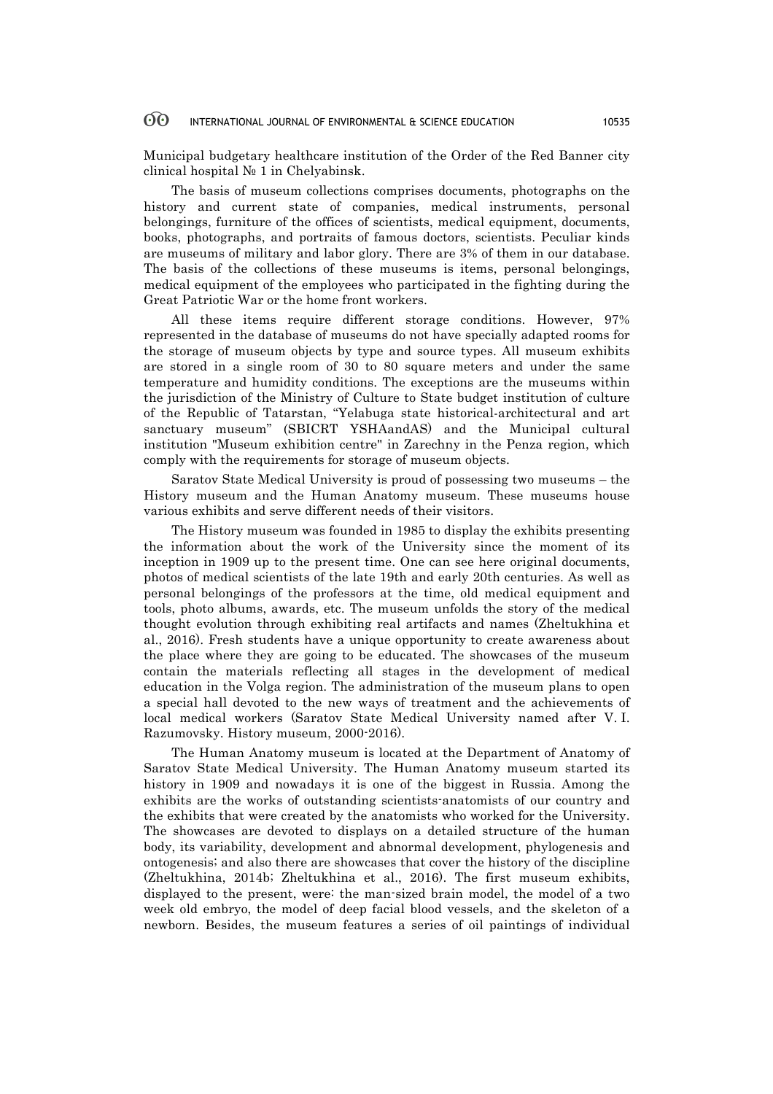Municipal budgetary healthcare institution of the Order of the Red Banner city clinical hospital № 1 in Chelyabinsk.

The basis of museum collections comprises documents, photographs on the history and current state of companies, medical instruments, personal belongings, furniture of the offices of scientists, medical equipment, documents, books, photographs, and portraits of famous doctors, scientists. Peculiar kinds are museums of military and labor glory. There are 3% of them in our database. The basis of the collections of these museums is items, personal belongings, medical equipment of the employees who participated in the fighting during the Great Patriotic War or the home front workers.

All these items require different storage conditions. However, 97% represented in the database of museums do not have specially adapted rooms for the storage of museum objects by type and source types. All museum exhibits are stored in a single room of 30 to 80 square meters and under the same temperature and humidity conditions. The exceptions are the museums within the jurisdiction of the Ministry of Culture to State budget institution of culture of the Republic of Tatarstan, "Yelabuga state historical-architectural and art sanctuary museum" (SBICRT YSHAandAS) and the Municipal cultural institution "Museum exhibition centre" in Zarechny in the Penza region, which comply with the requirements for storage of museum objects.

Saratov State Medical University is proud of possessing two museums – the History museum and the Human Anatomy museum. These museums house various exhibits and serve different needs of their visitors.

The History museum was founded in 1985 to display the exhibits presenting the information about the work of the University since the moment of its inception in 1909 up to the present time. One can see here original documents, photos of medical scientists of the late 19th and early 20th centuries. As well as personal belongings of the professors at the time, old medical equipment and tools, photo albums, awards, etc. The museum unfolds the story of the medical thought evolution through exhibiting real artifacts and names (Zheltukhina et al., 2016). Fresh students have a unique opportunity to create awareness about the place where they are going to be educated. The showcases of the museum contain the materials reflecting all stages in the development of medical education in the Volga region. The administration of the museum plans to open a special hall devoted to the new ways of treatment and the achievements of local medical workers (Saratov State Medical University named after V. I. Razumovsky. History museum, 2000-2016).

The Human Anatomy museum is located at the Department of Anatomy of Saratov State Medical University. The Human Anatomy museum started its history in 1909 and nowadays it is one of the biggest in Russia. Among the exhibits are the works of outstanding scientists-anatomists of our country and the exhibits that were created by the anatomists who worked for the University. The showcases are devoted to displays on a detailed structure of the human body, its variability, development and abnormal development, phylogenesis and ontogenesis; and also there are showcases that cover the history of the discipline (Zheltukhina, 2014b; Zheltukhina et al., 2016). The first museum exhibits, displayed to the present, were: the man-sized brain model, the model of a two week old embryo, the model of deep facial blood vessels, and the skeleton of a newborn. Besides, the museum features a series of oil paintings of individual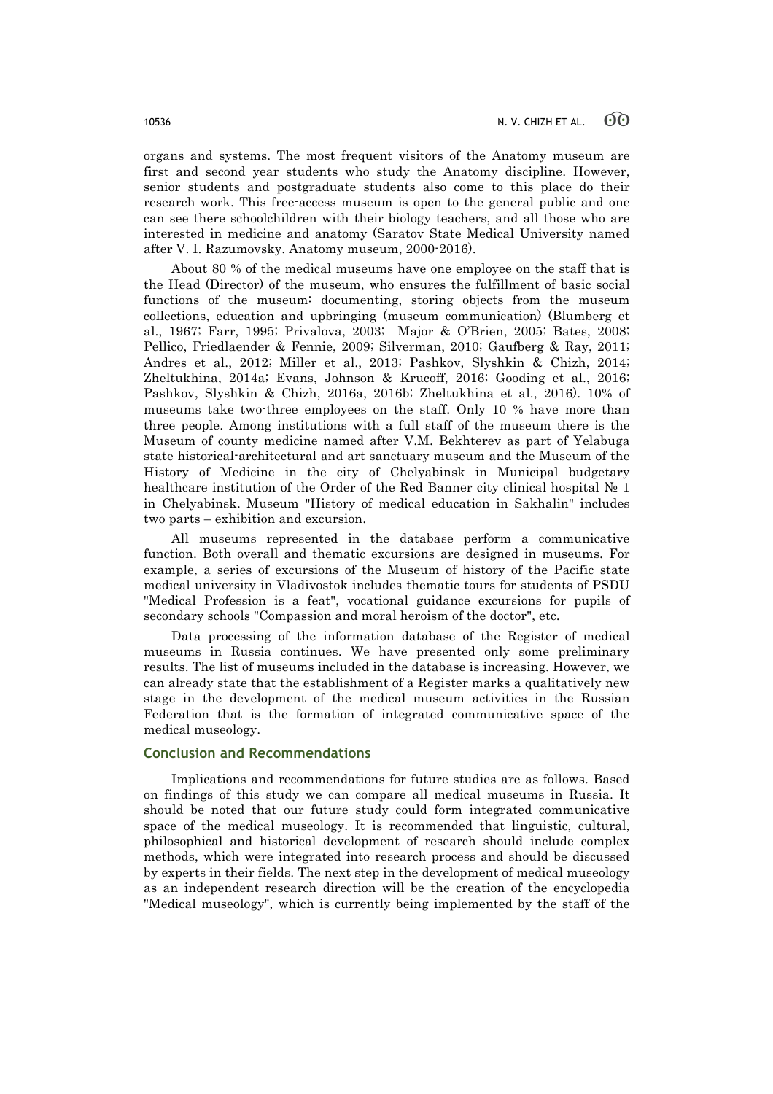organs and systems. The most frequent visitors of the Anatomy museum are first and second year students who study the Anatomy discipline. However, senior students and postgraduate students also come to this place do their research work. This free-access museum is open to the general public and one can see there schoolchildren with their biology teachers, and all those who are interested in medicine and anatomy (Saratov State Medical University named after V. I. Razumovsky. Anatomy museum, 2000-2016).

About 80 % of the medical museums have one employee on the staff that is the Head (Director) of the museum, who ensures the fulfillment of basic social functions of the museum: documenting, storing objects from the museum collections, education and upbringing (museum communication) (Blumberg et al., 1967; Farr, 1995; Privalova, 2003; Major & O'Brien, 2005; Bates, 2008; Pellico, Friedlaender & Fennie, 2009; Silverman, 2010; Gaufberg & Ray, 2011; Andres et al., 2012; Miller et al., 2013; Pashkov, Slyshkin & Chizh, 2014; Zheltukhina, 2014a; Evans, Johnson & Krucoff, 2016; Gooding et al., 2016; Pashkov, Slyshkin & Chizh, 2016a, 2016b; Zheltukhina et al., 2016). 10% of museums take two-three employees on the staff. Only 10 % have more than three people. Among institutions with a full staff of the museum there is the Museum of county medicine named after V.M. Bekhterev as part of Yelabuga state historical-architectural and art sanctuary museum and the Museum of the History of Medicine in the city of Chelyabinsk in Municipal budgetary healthcare institution of the Order of the Red Banner city clinical hospital № 1 in Chelyabinsk. Museum "History of medical education in Sakhalin" includes two parts – exhibition and excursion.

All museums represented in the database perform a communicative function. Both overall and thematic excursions are designed in museums. For example, a series of excursions of the Museum of history of the Pacific state medical university in Vladivostok includes thematic tours for students of PSDU "Medical Profession is a feat", vocational guidance excursions for pupils of secondary schools "Compassion and moral heroism of the doctor", etc.

Data processing of the information database of the Register of medical museums in Russia continues. We have presented only some preliminary results. The list of museums included in the database is increasing. However, we can already state that the establishment of a Register marks a qualitatively new stage in the development of the medical museum activities in the Russian Federation that is the formation of integrated communicative space of the medical museology.

# **Conclusion and Recommendations**

Implications and recommendations for future studies are as follows. Based on findings of this study we can compare all medical museums in Russia. It should be noted that our future study could form integrated communicative space of the medical museology. It is recommended that linguistic, cultural, philosophical and historical development of research should include complex methods, which were integrated into research process and should be discussed by experts in their fields. The next step in the development of medical museology as an independent research direction will be the creation of the encyclopedia "Medical museology", which is currently being implemented by the staff of the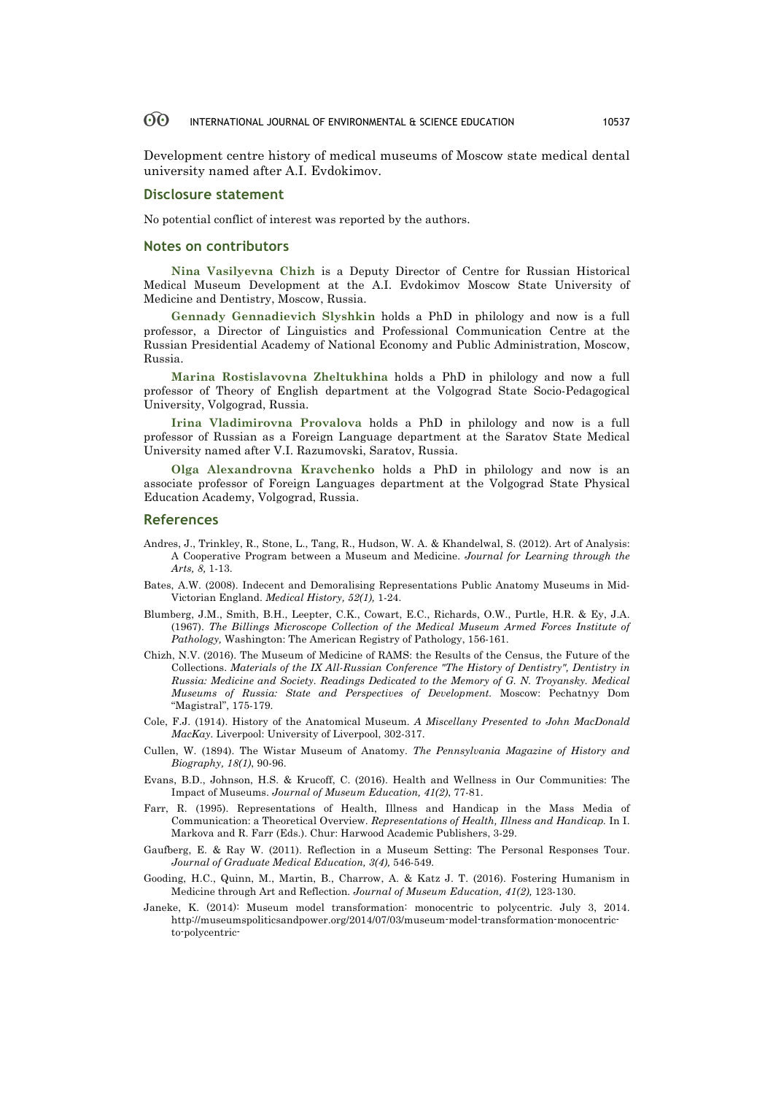Development centre history of medical museums of Moscow state medical dental university named after A.I. Evdokimov.

### **Disclosure statement**

No potential conflict of interest was reported by the authors.

### **Notes on contributors**

**Nina Vasilyevna Chizh** is a Deputy Director of Centre for Russian Historical Medical Museum Development at the A.I. Evdokimov Moscow State University of Medicine and Dentistry, Moscow, Russia.

**Gennady Gennadievich Slyshkin** holds a PhD in philology and now is a full professor, a Director of Linguistics and Professional Communication Centre at the Russian Presidential Academy of National Economy and Public Administration, Moscow, Russia.

**Marina Rostislavovna Zheltukhina** holds a PhD in philology and now a full professor of Theory of English department at the Volgograd State Socio-Pedagogical University, Volgograd, Russia.

**Irina Vladimirovna Provalova** holds a PhD in philology and now is a full professor of Russian as a Foreign Language department at the Saratov State Medical University named after V.I. Razumovski, Saratov, Russia.

**Olga Alexandrovna Kravchenko** holds a PhD in philology and now is an associate professor of Foreign Languages department at the Volgograd State Physical Education Academy, Volgograd, Russia.

### **References**

- Andres, J., Trinkley, R., Stone, L., Tang, R., Hudson, W. A. & Khandelwal, S. (2012). Art of Analysis: A Cooperative Program between a Museum and Medicine. *Journal for Learning through the Arts, 8,* 1-13.
- Bates, A.W. (2008). Indecent and Demoralising Representations Public Anatomy Museums in Mid-Victorian England. *Medical History, 52(1),* 1-24.
- Blumberg, J.M., Smith, B.H., Leepter, C.K., Cowart, E.C., Richards, O.W., Purtle, H.R. & Ey, J.A. (1967). *The Billings Microscope Collection of the Medical Museum Armed Forces Institute of Pathology,* Washington: The American Registry of Pathology, 156-161.
- Chizh, N.V. (2016). The Museum of Medicine of RAMS: the Results of the Census, the Future of the Collections. *Materials of the IX All-Russian Conference "The History of Dentistry", Dentistry in Russia: Medicine and Society. Readings Dedicated to the Memory of G. N. Troyansky. Medical Museums of Russia: State and Perspectives of Development.* Moscow: Pechatnyy Dom "Magistral", 175-179.
- Cole, F.J. (1914). History of the Anatomical Museum. *A Miscellany Presented to John MacDonald MacKay.* Liverpool: University of Liverpool, 302-317.
- Cullen, W. (1894). The Wistar Museum of Anatomy. *The Pennsylvania Magazine of History and Biography, 18(1)*, 90-96.
- Evans, B.D., Johnson, H.S. & Krucoff, C. (2016). Health and Wellness in Our Communities: The Impact of Museums. *Journal of Museum Education, 41(2)*, 77-81.
- Farr, R. (1995). Representations of Health, Illness and Handicap in the Mass Media of Communication: a Theoretical Overview. *Representations of Health, Illness and Handicap.* In I. Markova and R. Farr (Eds.). Chur: Harwood Academic Publishers, 3-29.
- Gaufberg, E. & Ray W. (2011). Reflection in a Museum Setting: The Personal Responses Tour. *Journal of Graduate Medical Education, 3(4),* 546-549.
- Gooding, H.C., Quinn, M., Martin, B., Charrow, A. & Katz J. T. (2016). Fostering Humanism in Medicine through Art and Reflection. *Journal of Museum Education, 41(2),* 123-130.
- Janeke, K. (2014): Museum model transformation: monocentric to polycentric. July 3, 2014. http://museumspoliticsandpower.org/2014/07/03/museum-model-transformation-monocentricto-polycentric-